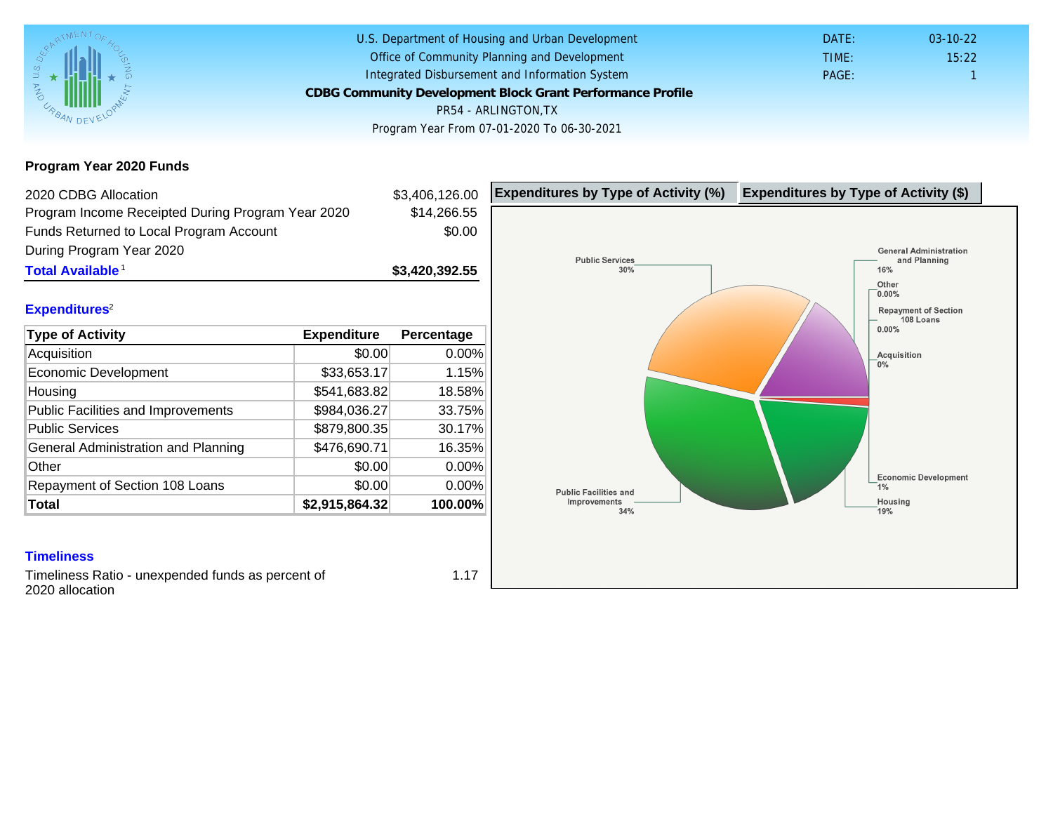Program Year 2020 Funds

| 2020 CDBG Allocation                              |                | \$3,406,126.00 | Expenditures by Type of Activity (%) | Expenditure |
|---------------------------------------------------|----------------|----------------|--------------------------------------|-------------|
| Program Income Receipted During Program Year 2020 |                | \$14,266.55    |                                      |             |
| Funds Returned to Local Program Account           |                | \$0.00         |                                      |             |
| During Program Year 2020                          |                |                |                                      |             |
| Total Available <sup>1</sup>                      |                | \$3,420,392.55 |                                      |             |
| Expenditures <sup>2</sup>                         |                |                |                                      |             |
| Type of Activity                                  | Expenditure    | Percentage     |                                      |             |
| Acquisition                                       | \$0.00         | 0.00%          |                                      |             |
| Economic Development                              | \$33,653.17    | 1.15%          |                                      |             |
| Housing                                           | \$541,683.82   | 18.58%         |                                      |             |
| <b>Public Facilities and Improvements</b>         | \$984,036.27   | 33.75%         |                                      |             |
| <b>Public Services</b>                            | \$879,800.35   | 30.17%         |                                      |             |
| General Administration and Planning               | \$476,690.71   | 16.35%         |                                      |             |
| Other                                             | \$0.00         | 0.00%          |                                      |             |
| Repayment of Section 108 Loans                    | \$0.00         | 0.00%          |                                      |             |
| Total                                             | \$2,915,864.32 | 100.00%        |                                      |             |

### **Timeliness**

Timeliness Ratio - unexpended funds as percent of 2020 allocation

1.17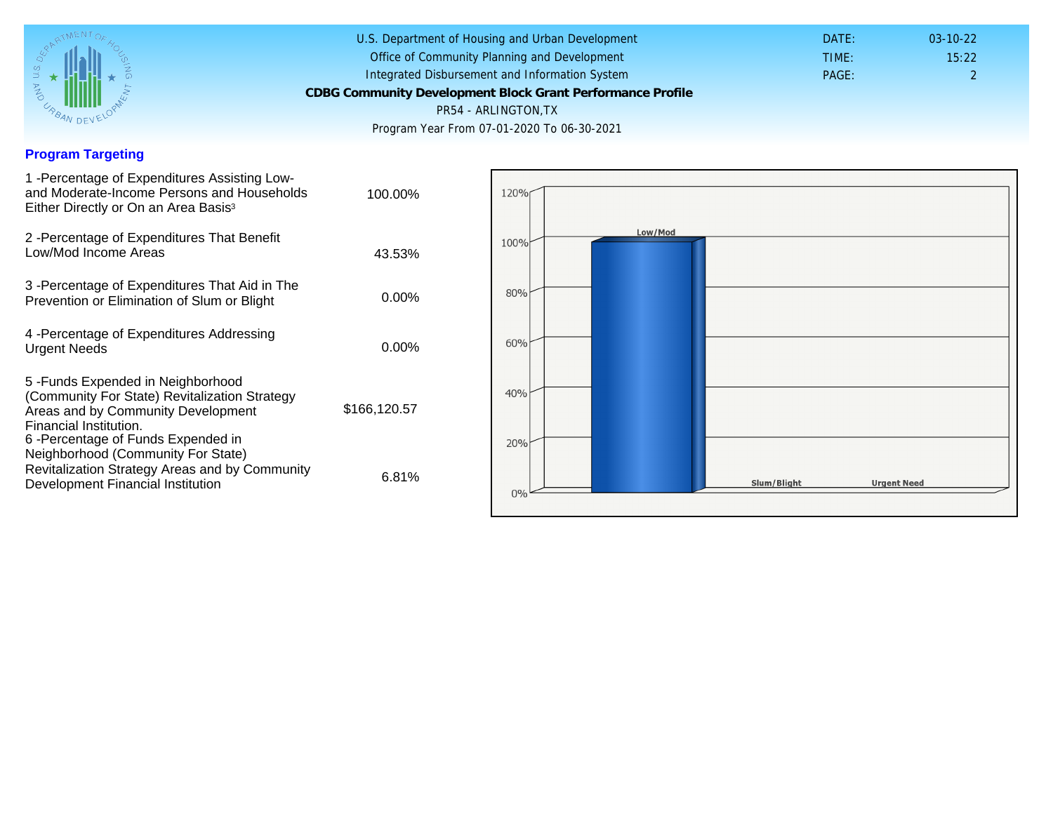## Program Targeting

| 1 - Percentage of Expenditures Assisting Low-<br>and Moderate-Income Persons and Households<br>Either Directly or On an Area Basis <sup>3</sup>                                                                                | 100.00%      |  |
|--------------------------------------------------------------------------------------------------------------------------------------------------------------------------------------------------------------------------------|--------------|--|
| 2 - Percentage of Expenditures That Benefit<br>Low/Mod Income Areas                                                                                                                                                            | 43.53%       |  |
| 3 -Percentage of Expenditures That Aid in The<br>Prevention or Elimination of Slum or Blight                                                                                                                                   | $0.00\%$     |  |
| 4 - Percentage of Expenditures Addressing<br><b>Urgent Needs</b>                                                                                                                                                               | $0.00\%$     |  |
| 5-Funds Expended in Neighborhood<br>(Community For State) Revitalization Strategy<br>Areas and by Community Development<br>Financial Institution.<br>6 - Percentage of Funds Expended in<br>Neighborhood (Community For State) | \$166,120.57 |  |
| Revitalization Strategy Areas and by Community<br>Development Financial Institution                                                                                                                                            | 6.81%        |  |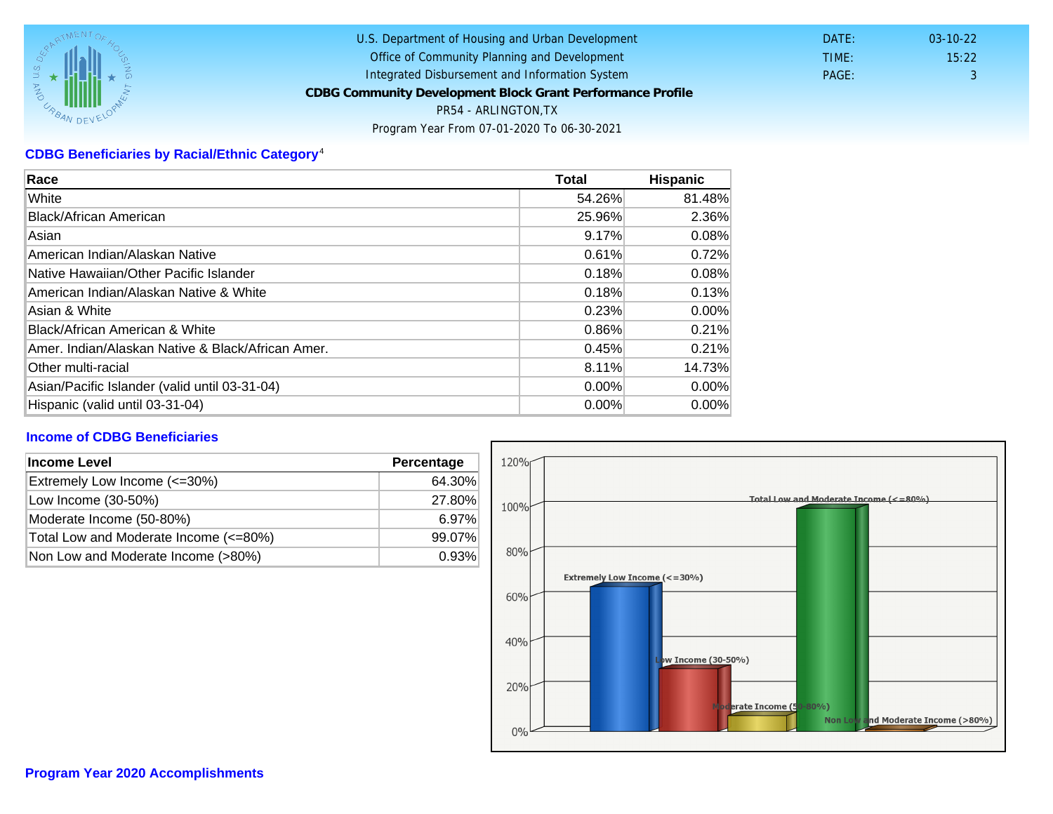# CDBG Beneficiaries by Racial/Ethnic Category <sup>4</sup>

| Race                                              | Total  | Hispanic |
|---------------------------------------------------|--------|----------|
| White                                             | 54.26% | 81.48%   |
| Black/African American                            | 25.96% | 2.36%    |
| Asian                                             | 9.17%  | 0.08%    |
| American Indian/Alaskan Native                    | 0.61%  | 0.72%    |
| lNative Hawaiian/Other Pacific Islander           | 0.18%  | 0.08%    |
| American Indian/Alaskan Native & White            | 0.18%  | 0.13%    |
| Asian & White                                     | 0.23%  | 0.00%    |
| Black/African American & White                    | 0.86%  | 0.21%    |
| Amer. Indian/Alaskan Native & Black/African Amer. | 0.45%  | 0.21%    |
| Other multi-racial                                | 8.11%  | 14.73%   |
| Asian/Pacific Islander (valid until 03-31-04)     | 0.00%  | $0.00\%$ |
| Hispanic (valid until 03-31-04)                   | 0.00%  | 0.00%    |

### Income of CDBG Beneficiaries

| Income Level                          | Percentage |  |
|---------------------------------------|------------|--|
| Extremely Low Income (<=30%)          | 64.30%     |  |
| Low Income (30-50%)                   | 27.80%     |  |
| Moderate Income (50-80%)              | 6.97%      |  |
| Total Low and Moderate Income (<=80%) | 99.07%     |  |
| Non Low and Moderate Income (>80%)    | 0.93%      |  |